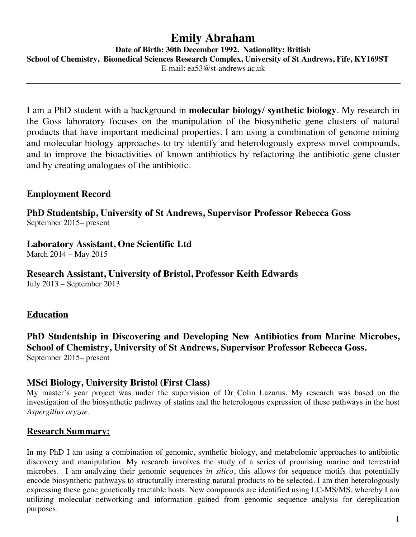# **Emily Abraham**

**Date of Birth: 30th December 1992. Nationality: British**

**School of Chemistry, Biomedical Sciences Research Complex, University of St Andrews, Fife, KY169ST**

E-mail: ea53@st-andrews.ac.uk

I am a PhD student with a background in **molecular biology/ synthetic biology**. My research in the Goss laboratory focuses on the manipulation of the biosynthetic gene clusters of natural products that have important medicinal properties. I am using a combination of genome mining and molecular biology approaches to try identify and heterologously express novel compounds, and to improve the bioactivities of known antibiotics by refactoring the antibiotic gene cluster and by creating analogues of the antibiotic.

## **Employment Record**

**PhD Studentship, University of St Andrews, Supervisor Professor Rebecca Goss** September 2015– present

**Laboratory Assistant, One Scientific Ltd**

March 2014 – May 2015

**Research Assistant, University of Bristol, Professor Keith Edwards** July 2013 – September 2013

## **Education**

**PhD Studentship in Discovering and Developing New Antibiotics from Marine Microbes, School of Chemistry, University of St Andrews, Supervisor Professor Rebecca Goss.** September 2015– present

## **MSci Biology, University Bristol (First Class)**

My master's year project was under the supervision of Dr Colin Lazarus. My research was based on the investigation of the biosynthetic pathway of statins and the heterologous expression of these pathways in the host *Aspergillus oryzae*.

## **Research Summary:**

In my PhD I am using a combination of genomic, synthetic biology, and metabolomic approaches to antibiotic discovery and manipulation. My research involves the study of a series of promising marine and terrestrial microbes. I am analyzing their genomic sequences *in silico*, this allows for sequence motifs that potentially encode biosynthetic pathways to structurally interesting natural products to be selected. I am then heterologously expressing these gene genetically tractable hosts. New compounds are identified using LC-MS/MS, whereby I am utilizing molecular networking and information gained from genomic sequence analysis for dereplication purposes.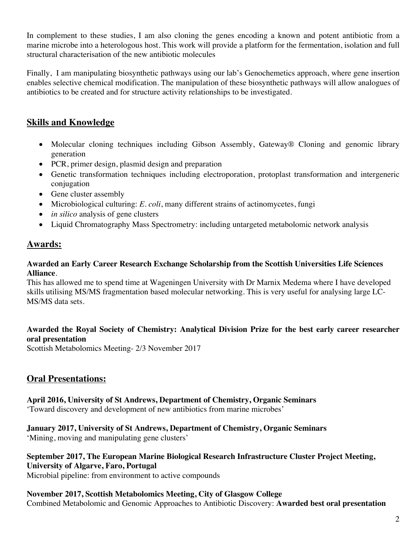In complement to these studies, I am also cloning the genes encoding a known and potent antibiotic from a marine microbe into a heterologous host. This work will provide a platform for the fermentation, isolation and full structural characterisation of the new antibiotic molecules

Finally, I am manipulating biosynthetic pathways using our lab's Genochemetics approach, where gene insertion enables selective chemical modification. The manipulation of these biosynthetic pathways will allow analogues of antibiotics to be created and for structure activity relationships to be investigated.

# **Skills and Knowledge**

- Molecular cloning techniques including Gibson Assembly, Gateway® Cloning and genomic library generation
- PCR, primer design, plasmid design and preparation
- Genetic transformation techniques including electroporation, protoplast transformation and intergeneric conjugation
- Gene cluster assembly
- Microbiological culturing: *E. coli*, many different strains of actinomycetes, fungi
- *in silico* analysis of gene clusters
- Liquid Chromatography Mass Spectrometry: including untargeted metabolomic network analysis

### **Awards:**

#### **Awarded an Early Career Research Exchange Scholarship from the Scottish Universities Life Sciences Alliance**.

This has allowed me to spend time at Wageningen University with Dr Marnix Medema where I have developed skills utilising MS/MS fragmentation based molecular networking. This is very useful for analysing large LC-MS/MS data sets.

#### **Awarded the Royal Society of Chemistry: Analytical Division Prize for the best early career researcher oral presentation**

Scottish Metabolomics Meeting- 2/3 November 2017

## **Oral Presentations:**

#### **April 2016, University of St Andrews, Department of Chemistry, Organic Seminars**

'Toward discovery and development of new antibiotics from marine microbes'

#### **January 2017, University of St Andrews, Department of Chemistry, Organic Seminars**

'Mining, moving and manipulating gene clusters'

#### **September 2017, The European Marine Biological Research Infrastructure Cluster Project Meeting, University of Algarve, Faro, Portugal**

Microbial pipeline: from environment to active compounds

# **November 2017, Scottish Metabolomics Meeting, City of Glasgow College**

Combined Metabolomic and Genomic Approaches to Antibiotic Discovery: **Awarded best oral presentation**